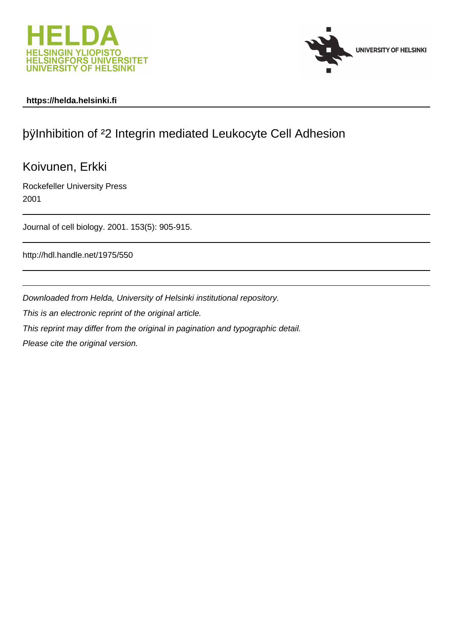



# **https://helda.helsinki.fi**

# þÿInhibition of ²2 Integrin mediated Leukocyte Cell Adhesion

# Koivunen, Erkki

Rockefeller University Press 2001

Journal of cell biology. 2001. 153(5): 905-915.

http://hdl.handle.net/1975/550

Downloaded from Helda, University of Helsinki institutional repository.

This is an electronic reprint of the original article.

This reprint may differ from the original in pagination and typographic detail.

Please cite the original version.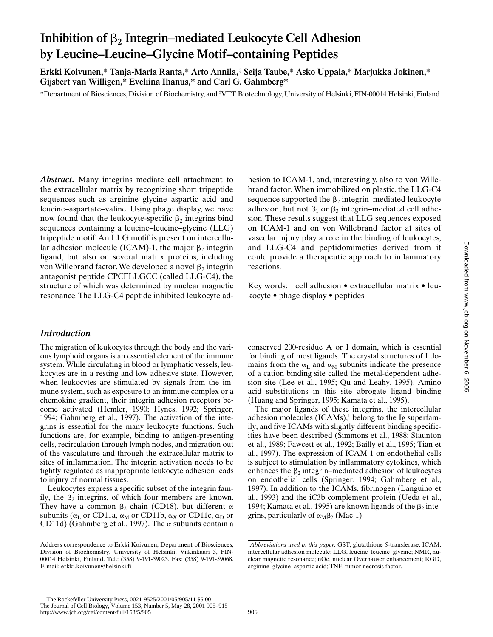# Inhibition of  $\beta_2$  Integrin–mediated Leukocyte Cell Adhesion **by Leucine–Leucine–Glycine Motif–containing Peptides**

**Erkki Koivunen,\* Tanja-Maria Ranta,\* Arto Annila,‡ Seija Taube,\* Asko Uppala,\* Marjukka Jokinen,\* Gijsbert van Willigen,\* Eveliina Ihanus,\* and Carl G. Gahmberg\***

\*Department of Biosciences, Division of Biochemistry, and ‡ VTT Biotechnology, University of Helsinki, FIN-00014 Helsinki, Finland

*Abstract.* Many integrins mediate cell attachment to the extracellular matrix by recognizing short tripeptide sequences such as arginine–glycine–aspartic acid and leucine–aspartate–valine. Using phage display, we have now found that the leukocyte-specific  $\beta_2$  integrins bind sequences containing a leucine–leucine–glycine (LLG) tripeptide motif. An LLG motif is present on intercellular adhesion molecule (ICAM)-1, the major  $\beta_2$  integrin ligand, but also on several matrix proteins, including von Willebrand factor. We developed a novel  $\beta_2$  integrin antagonist peptide CPCFLLGCC (called LLG-C4), the structure of which was determined by nuclear magnetic resonance. The LLG-C4 peptide inhibited leukocyte ad-

*Introduction*

The migration of leukocytes through the body and the various lymphoid organs is an essential element of the immune system. While circulating in blood or lymphatic vessels, leukocytes are in a resting and low adhesive state. However, when leukocytes are stimulated by signals from the immune system, such as exposure to an immune complex or a chemokine gradient, their integrin adhesion receptors become activated (Hemler, 1990; Hynes, 1992; Springer, 1994; Gahmberg et al., 1997). The activation of the integrins is essential for the many leukocyte functions. Such functions are, for example, binding to antigen-presenting cells, recirculation through lymph nodes, and migration out of the vasculature and through the extracellular matrix to sites of inflammation. The integrin activation needs to be tightly regulated as inappropriate leukocyte adhesion leads to injury of normal tissues.

Leukocytes express a specific subset of the integrin family, the  $\beta_2$  integrins, of which four members are known. They have a common  $\beta_2$  chain (CD18), but different  $\alpha$ subunits ( $\alpha_L$  or CD11a,  $\alpha_M$  or CD11b,  $\alpha_X$  or CD11c,  $\alpha_D$  or CD11d) (Gahmberg et al., 1997). The  $\alpha$  subunits contain a hesion to ICAM-1, and, interestingly, also to von Willebrand factor. When immobilized on plastic, the LLG-C4 sequence supported the  $\beta_2$  integrin–mediated leukocyte adhesion, but not  $\beta_1$  or  $\beta_3$  integrin–mediated cell adhesion. These results suggest that LLG sequences exposed on ICAM-1 and on von Willebrand factor at sites of vascular injury play a role in the binding of leukocytes, and LLG-C4 and peptidomimetics derived from it could provide a therapeutic approach to inflammatory reactions.

Key words: cell adhesion • extracellular matrix • leukocyte • phage display • peptides

conserved 200-residue A or I domain, which is essential for binding of most ligands. The crystal structures of I domains from the  $\alpha_{\text{I}}$  and  $\alpha_{\text{M}}$  subunits indicate the presence of a cation binding site called the metal-dependent adhesion site (Lee et al., 1995; Qu and Leahy, 1995). Amino acid substitutions in this site abrogate ligand binding (Huang and Springer, 1995; Kamata et al., 1995).

The major ligands of these integrins, the intercellular adhesion molecules  $(ICAMs)$ ,<sup>1</sup> belong to the Ig superfamily, and five ICAMs with slightly different binding specificities have been described (Simmons et al., 1988; Staunton et al., 1989; Fawcett et al., 1992; Bailly et al., 1995; Tian et al., 1997). The expression of ICAM-1 on endothelial cells is subject to stimulation by inflammatory cytokines, which enhances the  $\beta_2$  integrin–mediated adhesion of leukocytes on endothelial cells (Springer, 1994; Gahmberg et al., 1997). In addition to the ICAMs, fibrinogen (Languino et al., 1993) and the iC3b complement protein (Ueda et al., 1994; Kamata et al., 1995) are known ligands of the  $\beta_2$  integrins, particularly of  $\alpha_M\beta_2$  (Mac-1).

Address correspondence to Erkki Koivunen, Department of Biosciences, Division of Biochemistry, University of Helsinki, Viikinkaari 5, FIN-00014 Helsinki, Finland. Tel.: (358) 9-191-59023. Fax: (358) 9-191-59068. E-mail: erkki.koivunen@helsinki.fi

<sup>1</sup> *Abbreviations used in this paper:* GST, glutathione *S*-transferase; ICAM, intercellular adhesion molecule; LLG, leucine–leucine–glycine; NMR, nuclear magnetic resonance; nOe, nuclear Overhauser enhancement; RGD, arginine–glycine–aspartic acid; TNF, tumor necrosis factor.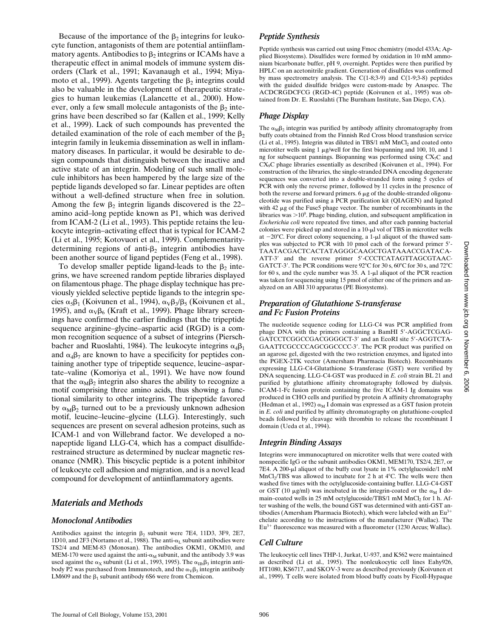Because of the importance of the  $\beta_2$  integrins for leukocyte function, antagonists of them are potential antiinflammatory agents. Antibodies to  $\beta_2$  integrins or ICAMs have a therapeutic effect in animal models of immune system disorders (Clark et al., 1991; Kavanaugh et al., 1994; Miyamoto et al., 1999). Agents targeting the  $\beta_2$  integrins could also be valuable in the development of therapeutic strategies to human leukemias (Lalancette et al., 2000). However, only a few small molecule antagonists of the  $\beta_2$  integrins have been described so far (Kallen et al., 1999; Kelly et al., 1999). Lack of such compounds has prevented the detailed examination of the role of each member of the  $\beta_2$ integrin family in leukemia dissemination as well in inflammatory diseases. In particular, it would be desirable to design compounds that distinguish between the inactive and active state of an integrin. Modeling of such small molecule inhibitors has been hampered by the large size of the peptide ligands developed so far. Linear peptides are often without a well-defined structure when free in solution. Among the few  $\beta_2$  integrin ligands discovered is the 22– amino acid–long peptide known as P1, which was derived from ICAM-2 (Li et al., 1993). This peptide retains the leukocyte integrin–activating effect that is typical for ICAM-2 (Li et al., 1995; Kotovuori et al., 1999). Complementaritydetermining regions of anti- $\beta_2$  integrin antibodies have been another source of ligand peptides (Feng et al., 1998).

To develop smaller peptide ligand-leads to the  $\beta_2$  integrins, we have screened random peptide libraries displayed on filamentous phage. The phage display technique has previously yielded selective peptide ligands to the integrin species  $\alpha_5\beta_1$  (Koivunen et al., 1994),  $\alpha_V\beta_3/\beta_5$  (Koivunen et al., 1995), and  $\alpha_V\beta_6$  (Kraft et al., 1999). Phage library screenings have confirmed the earlier findings that the tripeptide sequence arginine–glycine–aspartic acid (RGD) is a common recognition sequence of a subset of integrins (Pierschbacher and Ruoslahti, 1984). The leukocyte integrins  $\alpha_4\beta_1$ and  $\alpha_4\beta_7$  are known to have a specificity for peptides containing another type of tripeptide sequence, leucine–aspartate–valine (Komoriya et al., 1991). We have now found that the  $\alpha_M\beta_2$  integrin also shares the ability to recognize a motif comprising three amino acids, thus showing a functional similarity to other integrins. The tripeptide favored by  $\alpha_M\beta_2$  turned out to be a previously unknown adhesion motif, leucine–leucine–glycine (LLG). Interestingly, such sequences are present on several adhesion proteins, such as ICAM-1 and von Willebrand factor. We developed a nonapeptide ligand LLG-C4, which has a compact disulfiderestrained structure as determined by nuclear magnetic resonance (NMR). This biscyclic peptide is a potent inhibitor of leukocyte cell adhesion and migration, and is a novel lead compound for development of antiinflammatory agents.

# *Materials and Methods*

#### *Monoclonal Antibodies*

Antibodies against the integrin  $\beta_2$  subunit were 7E4, 11D3, 3F9, 2E7, 1D10, and 2F3 (Nortamo et al., 1988). The anti- $\alpha_L$  subunit antibodies were TS2/4 and MEM-83 (Monosan). The antibodies OKM1, OKM10, and MEM-170 were used against the anti- $\alpha_M$  subunit, and the antibody 3.9 was used against the  $\alpha_X$  subunit (Li et al., 1993, 1995). The  $\alpha_{IIb}\beta_3$  integrin antibody P2 was purchased from Immunotech, and the  $\alpha_V\beta_3$  integrin antibody LM609 and the  $\beta_1$  subunit antibody 6S6 were from Chemicon.

#### *Peptide Synthesis*

Peptide synthesis was carried out using Fmoc chemistry (model 433A; Applied Biosystems). Disulfides were formed by oxidation in 10 mM ammonium bicarbonate buffer, pH 9, overnight. Peptides were then purified by HPLC on an acetonitrile gradient. Generation of disulfides was confirmed by mass spectrometry analysis. The C(1-8;3-9) and C(1-9;3-8) peptides with the guided disulfide bridges were custom-made by Anaspec. The ACDCRGDCFCG (RGD-4C) peptide (Koivunen et al., 1995) was obtained from Dr. E. Ruoslahti (The Burnham Institute, San Diego, CA).

#### *Phage Display*

The  $\alpha_M\beta_2$  integrin was purified by antibody affinity chromatography from buffy coats obtained from the Finnish Red Cross blood transfusion service (Li et al., 1995). Integrin was diluted in TBS/1 mM  $MnCl<sub>2</sub>$  and coated onto microtiter wells using  $1 \mu$ g/well for the first biopanning and 100, 10, and 1 ng for subsequent pannings. Biopanning was performed using  $CX<sub>7</sub>C$  and CX9C phage libraries essentially as described (Koivunen et al., 1994). For construction of the libraries, the single-stranded DNA encoding degenerate sequences was converted into a double-stranded form using 5 cycles of PCR with only the reverse primer, followed by 11 cycles in the presence of both the reverse and forward primers.  $6 \mu$ g of the double-stranded oligonucleotide was purified using a PCR purification kit (QIAGEN) and ligated with  $42 \mu g$  of the Fuse5 phage vector. The number of recombinants in the libraries was  $>10^9$ . Phage binding, elution, and subsequent amplification in *Escherichia coli* were repeated five times, and after each panning bacterial colonies were picked up and stored in a  $10$ - $\mu$ l vol of TBS in microtiter wells at  $-20^{\circ}$ C. For direct colony sequencing, a 1-µl aliquot of the thawed samples was subjected to PCR with 10 pmol each of the forward primer 5'-TAATACGACTCACTATAGGGCAAGCTGATAAACCGATACA-ATT-3' and the reverse primer 5'-CCCTCATAGTTAGCGTAAC-GATCT-3'. The PCR conditions were  $92^{\circ}$ C for 30 s, 60 $^{\circ}$ C for 30 s, and 72 $^{\circ}$ C for 60 s, and the cycle number was  $35$ . A 1- $\mu$ l aliquot of the PCR reaction was taken for sequencing using 15 pmol of either one of the primers and analyzed on an ABI 310 apparatus (PE Biosystems).

#### *Preparation of Glutathione S-transferase and Fc Fusion Proteins*

The nucleotide sequence coding for LLG-C4 was PCR amplified from phage DNA with the primers containing a BamHI 5'-AGGCTCGAG-GATCCTCGGCCGACGGGGCT-3' and an EcoRI site 5'-AGGTCTA-GAATTCGCCCCAGCGGCCCC-3'. The PCR product was purified on an agarose gel, digested with the two restriction enzymes, and ligated into the PGEX-2TK vector (Amersham Pharmacia Biotech). Recombinants expressing LLG-C4-Glutathione S-transferase (GST) were verified by DNA sequencing. LLG-C4-GST was produced in *E. coli* strain BL 21 and purified by glutathione affinity chromatography followed by dialysis. ICAM-1-Fc fusion protein containing the five ICAM-1 Ig domains was produced in CHO cells and purified by protein A affinity chromatography (Hedman et al., 1992)  $\alpha_M$  I domain was expressed as a GST fusion protein in *E. coli* and purified by affinity chromatography on glutathione-coupled beads followed by cleavage with thrombin to release the recombinant I domain (Ueda et al., 1994).

#### *Integrin Binding Assays*

Integrins were immunocaptured on microtiter wells that were coated with nonspecific IgG or the subunit antibodies OKM1, MEM170, TS2/4, 2E7, or 7E4. A 200-µl aliquot of the buffy coat lysate in 1% octylglucoside/1 mM  $MnCl<sub>2</sub>/TBS$  was allowed to incubate for 2 h at 4°C. The wells were then washed five times with the octylglucoside-containing buffer. LLG-C4-GST or GST (10  $\mu$ g/ml) was incubated in the integrin-coated or the  $\alpha_M$  I domain–coated wells in 25 mM octylglucoside/TBS/1 mM MnCl<sub>2</sub> for 1 h. After washing of the wells, the bound GST was determined with anti-GST antibodies (Amersham Pharmacia Biotech), which were labeled with an  $Eu^{3+}$ chelate according to the instructions of the manufacturer (Wallac). The  $Eu<sup>3+</sup>$  fluorescence was measured with a fluorometer (1230 Arcus; Wallac).

# *Cell Culture*

The leukocytic cell lines THP-1, Jurkat, U-937, and K562 were maintained as described (Li et al., 1995). The nonleukocytic cell lines Eahy926, HT1080, KS6717, and SKOV-3 were as described previously (Koivunen et al., 1999). T cells were isolated from blood buffy coats by Ficoll-Hypaque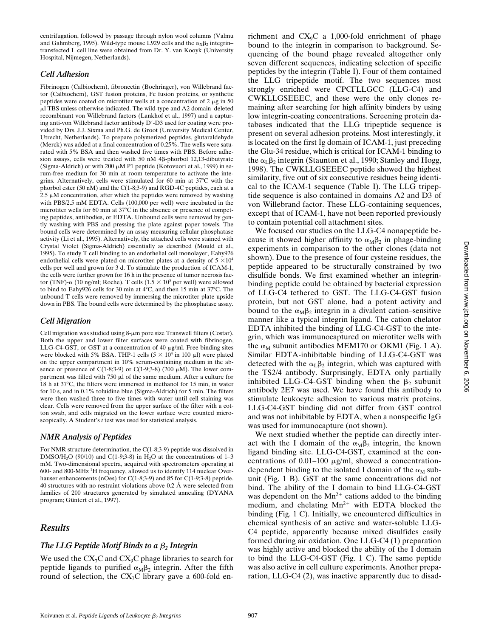centrifugation, followed by passage through nylon wool columns (Valmu and Gahmberg, 1995). Wild-type mouse L929 cells and the  $\alpha_X\beta_2$  integrin– transfected L cell line were obtained from Dr. Y. van Kooyk (University Hospital, Nijmegen, Netherlands).

#### *Cell Adhesion*

Fibrinogen (Calbiochem), fibronectin (Boehringer), von Willebrand factor (Calbiochem), GST fusion proteins, Fc fusion proteins, or synthetic peptides were coated on microtiter wells at a concentration of  $2 \mu g$  in 50 ml TBS unless otherwise indicated. The wild-type and A2 domain–deleted recombinant von Willebrand factors (Lankhof et al., 1997) and a capturing anti-von Willebrand factor antibody D'-D3 used for coating were provided by Drs. J.J. Sixma and Ph.G. de Groot (University Medical Center, Utrecht, Netherlands). To prepare polymerized peptides, glutaraldehyde (Merck) was added at a final concentration of 0.25%. The wells were saturated with 5% BSA and then washed five times with PBS. Before adhesion assays, cells were treated with 50 nM 4ß-phorbol 12,13-dibutyrate (Sigma-Aldrich) or with 200  $\mu$ M P1 peptide (Kotovuori et al., 1999) in serum-free medium for 30 min at room temperature to activate the integrins. Alternatively, cells were stimulated for 60 min at  $37^{\circ}$ C with the phorbol ester (50 nM) and the C(1-8;3-9) and RGD-4C peptides, each at a 2.5  $\mu$ M concentration, after which the peptides were removed by washing with PBS/2.5 mM EDTA. Cells (100,000 per well) were incubated in the microtiter wells for 60 min at  $37^{\circ}$ C in the absence or presence of competing peptides, antibodies, or EDTA. Unbound cells were removed by gently washing with PBS and pressing the plate against paper towels. The bound cells were determined by an assay measuring cellular phosphatase activity (Li et al., 1995). Alternatively, the attached cells were stained with Crystal Violet (Sigma-Aldrich) essentially as described (Mould et al., 1995). To study T cell binding to an endothelial cell monolayer, Eahy926 endothelial cells were plated on microtiter plates at a density of  $5 \times 10^4$ cells per well and grown for 3 d. To stimulate the production of ICAM-1, the cells were further grown for 16 h in the presence of tumor necrosis factor (TNF)- $\alpha$  (10 ng/ml; Roche). T cells (1.5  $\times$  10<sup>5</sup> per well) were allowed to bind to Eahy926 cells for 30 min at  $4^{\circ}$ C, and then 15 min at 37 $^{\circ}$ C. The unbound T cells were removed by immersing the microtiter plate upside down in PBS. The bound cells were determined by the phosphatase assay.

### *Cell Migration*

Cell migration was studied using  $8-\mu m$  pore size Transwell filters (Costar). Both the upper and lower filter surfaces were coated with fibrinogen, LLG-C4-GST, or GST at a concentration of 40  $\mu$ g/ml. Free binding sites were blocked with 5% BSA. THP-1 cells  $(5 \times 10^4 \text{ in } 100 \text{ }\mu\text{I})$  were plated on the upper compartment in 10% serum-containing medium in the absence or presence of C(1-8;3-9) or C(1-9;3-8) (200  $\mu$ M). The lower compartment was filled with 750  $\mu$ l of the same medium. After a culture for 18 h at 37°C, the filters were immersed in methanol for 15 min, in water for 10 s, and in 0.1% toluidine blue (Sigma-Aldrich) for 5 min. The filters were then washed three to five times with water until cell staining was clear. Cells were removed from the upper surface of the filter with a cotton swab, and cells migrated on the lower surface were counted microscopically. A Student's *t* test was used for statistical analysis.

#### *NMR Analysis of Peptides*

For NMR structure determination, the C(1-8;3-9) peptide was dissolved in DMSO/H<sub>2</sub>O (90/10) and C(1-9;3-8) in H<sub>2</sub>O at the concentrations of 1–3 mM. Two-dimensional spectra, acquired with spectrometers operating at 600- and 800-MHz <sup>1</sup> H frequency, allowed us to identify 114 nuclear Overhauser enhancements (nOes) for C(1-8;3-9) and 85 for C(1-9;3-8) peptide. 40 structures with no restraint violations above 0.2 Å were selected from families of 200 structures generated by simulated annealing (DYANA program; Güntert et al., 1997).

# *Results*

# *The LLG Peptide Motif Binds to a β<sub>2</sub> Integrin*

We used the  $CX<sub>7</sub>C$  and  $CX<sub>9</sub>C$  phage libraries to search for peptide ligands to purified  $\alpha_M\beta_2$  integrin. After the fifth round of selection, the  $CX<sub>7</sub>C$  library gave a 600-fold en-

richment and  $CX<sub>9</sub>C$  a 1,000-fold enrichment of phage bound to the integrin in comparison to background. Sequencing of the bound phage revealed altogether only seven different sequences, indicating selection of specific peptides by the integrin (Table I). Four of them contained the LLG tripeptide motif. The two sequences most strongly enriched were CPCFLLGCC (LLG-C4) and CWKLLGSEEEC, and these were the only clones remaining after searching for high affinity binders by using low integrin-coating concentrations. Screening protein databases indicated that the LLG tripeptide sequence is present on several adhesion proteins. Most interestingly, it is located on the first Ig domain of ICAM-1, just preceding the Glu-34 residue, which is critical for ICAM-1 binding to the  $\alpha_{\rm I}$   $\beta_2$  integrin (Staunton et al., 1990; Stanley and Hogg, 1998). The CWKLLGSEEEC peptide showed the highest similarity, five out of six consecutive residues being identical to the ICAM-1 sequence (Table I). The LLG tripeptide sequence is also contained in domains A2 and D3 of von Willebrand factor. These LLG-containing sequences, except that of ICAM-1, have not been reported previously to contain potential cell attachment sites.

We focused our studies on the LLG-C4 nonapeptide because it showed higher affinity to  $\alpha_M\beta_2$  in phage-binding experiments in comparison to the other clones (data not shown). Due to the presence of four cysteine residues, the peptide appeared to be structurally constrained by two disulfide bonds. We first examined whether an integrinbinding peptide could be obtained by bacterial expression of LLG-C4 tethered to GST. The LLG-C4-GST fusion protein, but not GST alone, had a potent activity and bound to the  $\alpha_M\beta_2$  integrin in a divalent cation–sensitive manner like a typical integrin ligand. The cation chelator EDTA inhibited the binding of LLG-C4-GST to the integrin, which was immunocaptured on microtiter wells with the  $\alpha_M$  subunit antibodies MEM170 or OKM1 (Fig. 1 A). Similar EDTA-inhibitable binding of LLG-C4-GST was detected with the  $\alpha_{\text{L}}\beta_2$  integrin, which was captured with the TS2/4 antibody. Surprisingly, EDTA only partially inhibited LLG-C4-GST binding when the  $\beta_2$  subunit antibody 2E7 was used. We have found this antibody to stimulate leukocyte adhesion to various matrix proteins. LLG-C4-GST binding did not differ from GST control and was not inhibitable by EDTA, when a nonspecific IgG was used for immunocapture (not shown).

We next studied whether the peptide can directly interact with the I domain of the  $\alpha_M\beta_2$  integrin, the known ligand binding site. LLG-C4-GST, examined at the concentrations of  $0.01-100 \mu g/ml$ , showed a concentrationdependent binding to the isolated I domain of the  $\alpha_M$  subunit (Fig. 1 B). GST at the same concentrations did not bind. The ability of the I domain to bind LLG-C4-GST was dependent on the  $Mn^{2+}$  cations added to the binding medium, and chelating  $Mn^{2+}$  with EDTA blocked the binding (Fig. 1 C). Initially, we encountered difficulties in chemical synthesis of an active and water-soluble LLG-C4 peptide, apparently because mixed disulfides easily formed during air oxidation. One LLG-C4 (1) preparation was highly active and blocked the ability of the I domain to bind the LLG-C4-GST (Fig. 1 C). The same peptide was also active in cell culture experiments. Another preparation, LLG-C4 (2), was inactive apparently due to disad-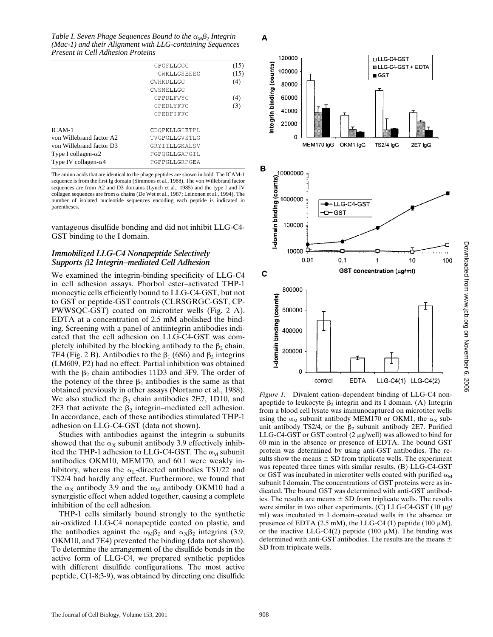*Table I. Seven Phage Sequences Bound to the*  $\alpha_M \beta_2$  *Integrin (Mac-1) and their Alignment with LLG-containing Sequences Present in Cell Adhesion Proteins*

|                              | CPCFLLGCC     | (15) |
|------------------------------|---------------|------|
|                              | CWKLLGSEEEC   | (15) |
|                              | CWHKDLLGC     | (4)  |
|                              | CWSMELLGC     |      |
|                              | CPPDLFWYC     | (4)  |
|                              | CPEDLYFFC     | (3)  |
|                              | CPEDFIFFC     |      |
| $ICAM-1$                     | CDOPKLLGIETPL |      |
| von Willebrand factor A2     | TVGPGLLGVSTLG |      |
| von Willebrand factor D3     | GRYTTLLGKALSV |      |
| Type I collagen- $\alpha$ 2  | PGPOGLLGAPGIL |      |
| Type IV collagen- $\alpha$ 4 | PGPPGLLGRPGEA |      |
|                              |               |      |

The amino acids that are identical to the phage peptides are shown in bold. The ICAM-1 sequence is from the first Ig domain (Simmons et al., 1988). The von Willebrand factor sequences are from A2 and D3 domains (Lynch et al., 1985) and the type I and IV collagen sequences are from  $\alpha$  chains (De Wet et al., 1987; Leinonen et al., 1994). The number of isolated nucleotide sequences encoding each peptide is indicated in parentheses.

vantageous disulfide bonding and did not inhibit LLG-C4- GST binding to the I domain.

#### *Immobilized LLG-C4 Nonapeptide Selectively Supports* b*2 Integrin–mediated Cell Adhesion*

We examined the integrin-binding specificity of LLG-C4 in cell adhesion assays. Phorbol ester–activated THP-1 monocytic cells efficiently bound to LLG-C4-GST, but not to GST or peptide-GST controls (CLRSGRGC-GST, CP-PWWSQC-GST) coated on microtiter wells (Fig. 2 A). EDTA at a concentration of 2.5 mM abolished the binding. Screening with a panel of antiintegrin antibodies indicated that the cell adhesion on LLG-C4-GST was completely inhibited by the blocking antibody to the  $\beta_2$  chain, 7E4 (Fig. 2 B). Antibodies to the  $\beta_1$  (6S6) and  $\beta_3$  integrins (LM609, P2) had no effect. Partial inhibition was obtained with the  $\beta_2$  chain antibodies 11D3 and 3F9. The order of the potency of the three  $\beta_2$  antibodies is the same as that obtained previously in other assays (Nortamo et al., 1988). We also studied the  $\beta_2$  chain antibodies 2E7, 1D10, and 2F3 that activate the  $\beta_2$  integrin–mediated cell adhesion. In accordance, each of these antibodies stimulated THP-1 adhesion on LLG-C4-GST (data not shown).

Studies with antibodies against the integrin  $\alpha$  subunits showed that the  $\alpha_X$  subunit antibody 3.9 effectively inhibited the THP-1 adhesion to LLG-C4-GST. The  $\alpha_M$  subunit antibodies OKM10, MEM170, and 60.1 were weakly inhibitory, whereas the  $\alpha_L$ -directed antibodies TS1/22 and TS2/4 had hardly any effect. Furthermore, we found that the  $\alpha_X$  antibody 3.9 and the  $\alpha_M$  antibody OKM10 had a synergistic effect when added together, causing a complete inhibition of the cell adhesion.

THP-1 cells similarly bound strongly to the synthetic air-oxidized LLG-C4 nonapeptide coated on plastic, and the antibodies against the  $\alpha_{\text{M}}\beta_2$  and  $\alpha_{\text{X}}\beta_2$  integrins (3.9, OKM10, and 7E4) prevented the binding (data not shown). To determine the arrangement of the disulfide bonds in the active form of LLG-C4, we prepared synthetic peptides with different disulfide configurations. The most active peptide, C(1-8;3-9), was obtained by directing one disulfide



*Figure 1.* Divalent cation–dependent binding of LLG-C4 nonapeptide to leukocyte  $\beta_2$  integrin and its I domain. (A) Integrin from a blood cell lysate was immunocaptured on microtiter wells using the  $\alpha_M$  subunit antibody MEM170 or OKM1, the  $\alpha_X$  subunit antibody TS2/4, or the  $\beta_2$  subunit antibody 2E7. Purified LLG-C4-GST or GST control  $(2 \mu g/well)$  was allowed to bind for 60 min in the absence or presence of EDTA. The bound GST protein was determined by using anti-GST antibodies. The results show the means  $\pm$  SD from triplicate wells. The experiment was repeated three times with similar results. (B) LLG-C4-GST or GST was incubated in microtiter wells coated with purified  $\alpha_M$ subunit I domain. The concentrations of GST proteins were as indicated. The bound GST was determined with anti-GST antibodies. The results are means  $\pm$  SD from triplicate wells. The results were similar in two other experiments. (C) LLG-C4-GST (10  $\mu$ g/ ml) was incubated in I domain–coated wells in the absence or presence of EDTA (2.5 mM), the LLG-C4 (1) peptide (100  $\mu$ M), or the inactive LLG-C4(2) peptide (100  $\mu$ M). The binding was determined with anti-GST antibodies. The results are the means  $\pm$ SD from triplicate wells.

A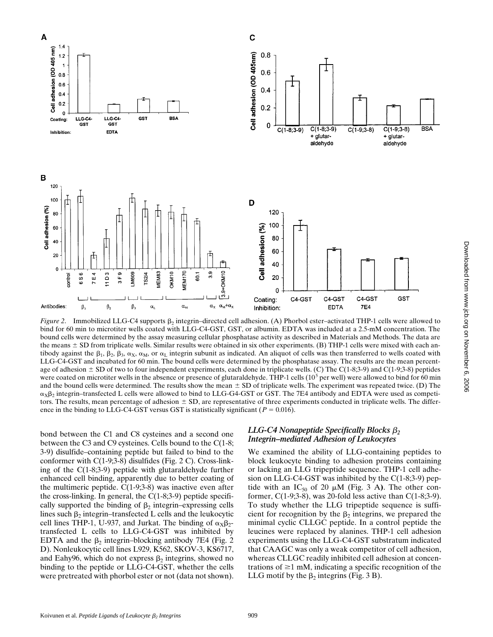

*Figure 2.* Immobilized LLG-C4 supports  $\beta_2$  integrin–directed cell adhesion. (A) Phorbol ester–activated THP-1 cells were allowed to bind for 60 min to microtiter wells coated with LLG-C4-GST, GST, or albumin. EDTA was included at a 2.5-mM concentration. The bound cells were determined by the assay measuring cellular phosphatase activity as described in Materials and Methods. The data are the means  $\pm$  SD from triplicate wells. Similar results were obtained in six other experiments. (B) THP-1 cells were mixed with each antibody against the  $\beta_1$ ,  $\beta_2$ ,  $\beta_3$ ,  $\alpha_X$ ,  $\alpha_M$ , or  $\alpha_L$  integrin subunit as indicated. An aliquot of cells was then transferred to wells coated with LLG-C4-GST and incubated for 60 min. The bound cells were determined by the phosphatase assay. The results are the mean percentage of adhesion  $\pm$  SD of two to four independent experiments, each done in triplicate wells. (C) The C(1-8;3-9) and C(1-9;3-8) peptides were coated on microtiter wells in the absence or presence of glutaraldehyde. THP-1 cells  $(10<sup>5</sup>$  per well) were allowed to bind for 60 min and the bound cells were determined. The results show the mean  $\pm$  SD of triplicate wells. The experiment was repeated twice. (D) The  $\alpha_X\beta_2$  integrin–transfected L cells were allowed to bind to LLG-G4-GST or GST. The 7E4 antibody and EDTA were used as competitors. The results, mean percentage of adhesion  $\pm$  SD, are representative of three experiments conducted in triplicate wells. The difference in the binding to LLG-C4-GST versus GST is statistically significant ( $P = 0.016$ ).

bond between the C1 and C8 cysteines and a second one between the C3 and C9 cysteines. Cells bound to the C(1-8; 3-9) disulfide–containing peptide but failed to bind to the conformer with C(1-9;3-8) disulfides (Fig. 2 C). Cross-linking of the C(1-8;3-9) peptide with glutaraldehyde further enhanced cell binding, apparently due to better coating of the multimeric peptide.  $C(1-9,3-8)$  was inactive even after the cross-linking. In general, the  $C(1-8,3-9)$  peptide specifically supported the binding of  $\beta_2$  integrin–expressing cells lines such  $\beta_2$  integrin–transfected L cells and the leukocytic cell lines THP-1, U-937, and Jurkat. The binding of  $\alpha_{\text{X}}\beta_{2}$ transfected L cells to LLG-C4-GST was inhibited by EDTA and the  $\beta_2$  integrin–blocking antibody 7E4 (Fig. 2) D). Nonleukocytic cell lines L929, K562, SKOV-3, KS6717, and Eahy96, which do not express  $\beta_2$  integrins, showed no binding to the peptide or LLG-C4-GST, whether the cells were pretreated with phorbol ester or not (data not shown).

#### *LLG-C4 Nonapeptide Specifically Blocks β*<sub>2</sub> *Integrin–mediated Adhesion of Leukocytes*

We examined the ability of LLG-containing peptides to block leukocyte binding to adhesion proteins containing or lacking an LLG tripeptide sequence. THP-1 cell adhesion on LLG-C4-GST was inhibited by the C(1-8;3-9) peptide with an  $IC_{50}$  of 20  $\mu$ M (Fig. 3 A). The other conformer, C(1-9;3-8), was 20-fold less active than C(1-8;3-9). To study whether the LLG tripeptide sequence is sufficient for recognition by the  $\beta_2$  integrins, we prepared the minimal cyclic CLLGC peptide. In a control peptide the leucines were replaced by alanines. THP-1 cell adhesion experiments using the LLG-C4-GST substratum indicated that CAAGC was only a weak competitor of cell adhesion, whereas CLLGC readily inhibited cell adhesion at concentrations of  $\geq 1$  mM, indicating a specific recognition of the LLG motif by the  $\beta_2$  integrins (Fig. 3 B).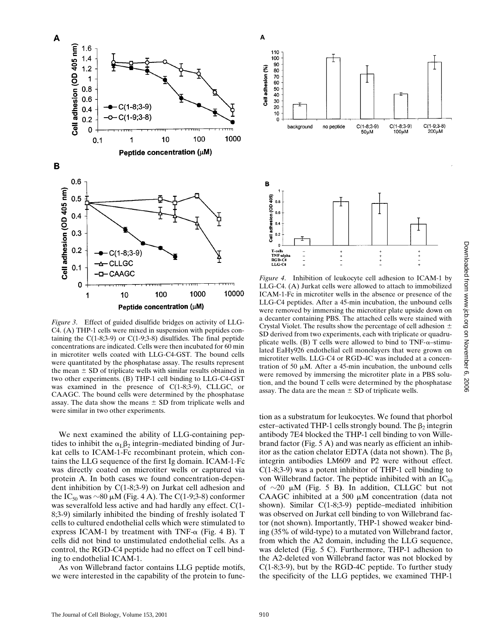

*Figure 3*. Effect of guided disulfide bridges on activity of LLG-C4. (A) THP-1 cells were mixed in suspension with peptides containing the  $C(1-8,3-9)$  or  $C(1-9,3-8)$  disulfides. The final peptide concentrations are indicated. Cells were then incubated for 60 min in microtiter wells coated with LLG-C4-GST. The bound cells were quantitated by the phosphatase assay. The results represent the mean  $\pm$  SD of triplicate wells with similar results obtained in two other experiments. (B) THP-1 cell binding to LLG-C4-GST was examined in the presence of C(1-8;3-9), CLLGC, or CAAGC. The bound cells were determined by the phosphatase assay. The data show the means  $\pm$  SD from triplicate wells and were similar in two other experiments.

We next examined the ability of LLG-containing peptides to inhibit the  $\alpha_L\beta_2$  integrin–mediated binding of Jurkat cells to ICAM-1-Fc recombinant protein, which contains the LLG sequence of the first Ig domain. ICAM-1-Fc was directly coated on microtiter wells or captured via protein A. In both cases we found concentration-dependent inhibition by C(1-8;3-9) on Jurkat cell adhesion and the IC<sub>50</sub> was  $\sim$ 80  $\mu$ M (Fig. 4 A). The C(1-9;3-8) conformer was severalfold less active and had hardly any effect. C(1- 8;3-9) similarly inhibited the binding of freshly isolated T cells to cultured endothelial cells which were stimulated to express ICAM-1 by treatment with TNF- $\alpha$  (Fig. 4 B). T cells did not bind to unstimulated endothelial cells. As a control, the RGD-C4 peptide had no effect on T cell binding to endothelial ICAM-1.

As von Willebrand factor contains LLG peptide motifs, we were interested in the capability of the protein to func-



*Figure 4*. Inhibition of leukocyte cell adhesion to ICAM-1 by LLG-C4. (A) Jurkat cells were allowed to attach to immobilized ICAM-1-Fc in microtiter wells in the absence or presence of the LLG-C4 peptides. After a 45-min incubation, the unbound cells were removed by immersing the microtiter plate upside down on a decanter containing PBS. The attached cells were stained with Crystal Violet. The results show the percentage of cell adhesion  $\pm$ SD derived from two experiments, each with triplicate or quadruplicate wells. (B) T cells were allowed to bind to  $TNF-\alpha$ –stimulated EaHy926 endothelial cell monolayers that were grown on microtiter wells. LLG-C4 or RGD-4C was included at a concentration of 50  $\mu$ M. After a 45-min incubation, the unbound cells were removed by immersing the microtiter plate in a PBS solution, and the bound T cells were determined by the phosphatase assay. The data are the mean  $\pm$  SD of triplicate wells.

tion as a substratum for leukocytes. We found that phorbol ester–activated THP-1 cells strongly bound. The  $\beta_2$  integrin antibody 7E4 blocked the THP-1 cell binding to von Willebrand factor (Fig. 5 A) and was nearly as efficient an inhibitor as the cation chelator EDTA (data not shown). The  $\beta_3$ integrin antibodies LM609 and P2 were without effect. C(1-8;3-9) was a potent inhibitor of THP-1 cell binding to von Willebrand factor. The peptide inhibited with an  $IC_{50}$ of  $\sim$ 20  $\mu$ M (Fig. 5 B). In addition, CLLGC but not CAAGC inhibited at a 500  $\mu$ M concentration (data not shown). Similar C(1-8;3-9) peptide–mediated inhibition was observed on Jurkat cell binding to von Willebrand factor (not shown). Importantly, THP-1 showed weaker binding (35% of wild-type) to a mutated von Willebrand factor, from which the A2 domain, including the LLG sequence, was deleted (Fig. 5 C). Furthermore, THP-1 adhesion to the A2-deleted von Willebrand factor was not blocked by  $C(1-8,3-9)$ , but by the RGD-4C peptide. To further study the specificity of the LLG peptides, we examined THP-1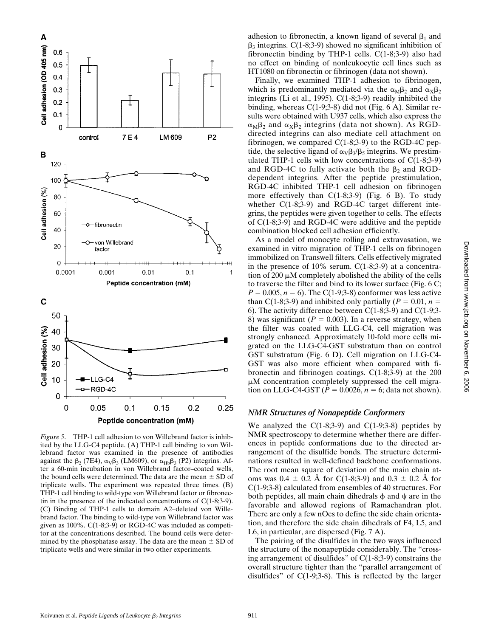

*Figure 5*. THP-1 cell adhesion to von Willebrand factor is inhibited by the LLG-C4 peptide. (A) THP-1 cell binding to von Willebrand factor was examined in the presence of antibodies against the  $\beta$ <sub>2</sub> (7E4),  $\alpha$ <sub>V</sub> $\beta$ <sub>3</sub> (LM609), or  $\alpha$ <sub>IIb</sub> $\beta$ <sub>3</sub> (P2) integrins. After a 60-min incubation in von Willebrand factor–coated wells, the bound cells were determined. The data are the mean  $\pm$  SD of triplicate wells. The experiment was repeated three times. (B) THP-1 cell binding to wild-type von Willebrand factor or fibronectin in the presence of the indicated concentrations of C(1-8;3-9). (C) Binding of THP-1 cells to domain A2–deleted von Willebrand factor. The binding to wild-type von Willebrand factor was given as 100%. C(1-8;3-9) or RGD-4C was included as competitor at the concentrations described. The bound cells were determined by the phosphatase assay. The data are the mean  $\pm$  SD of triplicate wells and were similar in two other experiments.

adhesion to fibronectin, a known ligand of several  $\beta_1$  and  $\beta_3$  integrins. C(1-8;3-9) showed no significant inhibition of fibronectin binding by THP-1 cells. C(1-8;3-9) also had no effect on binding of nonleukocytic cell lines such as HT1080 on fibronectin or fibrinogen (data not shown).

Finally, we examined THP-1 adhesion to fibrinogen, which is predominantly mediated via the  $\alpha_M\beta_2$  and  $\alpha_X\beta_2$ integrins (Li et al., 1995). C(1-8;3-9) readily inhibited the binding, whereas C(1-9;3-8) did not (Fig. 6 A). Similar results were obtained with U937 cells, which also express the  $\alpha_M\beta_2$  and  $\alpha_X\beta_2$  integrins (data not shown). As RGDdirected integrins can also mediate cell attachment on fibrinogen, we compared  $C(1-8,3-9)$  to the RGD-4C peptide, the selective ligand of  $\alpha_V \beta_3/\beta_5$  integrins. We prestimulated THP-1 cells with low concentrations of  $C(1-8,3-9)$ and RGD-4C to fully activate both the  $\beta_2$  and RGDdependent integrins. After the peptide prestimulation, RGD-4C inhibited THP-1 cell adhesion on fibrinogen more effectively than  $C(1-8,3-9)$  (Fig. 6 B). To study whether C(1-8;3-9) and RGD-4C target different integrins, the peptides were given together to cells. The effects of C(1-8;3-9) and RGD-4C were additive and the peptide combination blocked cell adhesion efficiently.

As a model of monocyte rolling and extravasation, we examined in vitro migration of THP-1 cells on fibrinogen immobilized on Transwell filters. Cells effectively migrated in the presence of 10% serum. C(1-8;3-9) at a concentration of 200  $\mu$ M completely abolished the ability of the cells to traverse the filter and bind to its lower surface (Fig. 6 C;  $P = 0.005$ ,  $n = 6$ ). The C(1-9;3-8) conformer was less active than C(1-8;3-9) and inhibited only partially ( $P = 0.01$ ,  $n =$ 6). The activity difference between  $C(1-8,3-9)$  and  $C(1-9,3-1)$ 8) was significant  $(P = 0.003)$ . In a reverse strategy, when the filter was coated with LLG-C4, cell migration was strongly enhanced. Approximately 10-fold more cells migrated on the LLG-C4-GST substratum than on control GST substratum (Fig. 6 D). Cell migration on LLG-C4- GST was also more efficient when compared with fibronectin and fibrinogen coatings. C(1-8;3-9) at the 200  $\mu$ M concentration completely suppressed the cell migration on LLG-C4-GST  $(P = 0.0026, n = 6$ ; data not shown).

#### *NMR Structures of Nonapeptide Conformers*

We analyzed the  $C(1-8,3-9)$  and  $C(1-9,3-8)$  peptides by NMR spectroscopy to determine whether there are differences in peptide conformations due to the directed arrangement of the disulfide bonds. The structure determinations resulted in well-defined backbone conformations. The root mean square of deviation of the main chain atoms was  $0.4 \pm 0.2$  Å for C(1-8;3-9) and  $0.3 \pm 0.2$  Å for C(1-9;3-8) calculated from ensembles of 40 structures. For both peptides, all main chain dihedrals  $\phi$  and  $\psi$  are in the favorable and allowed regions of Ramachandran plot. There are only a few nOes to define the side chain orientation, and therefore the side chain dihedrals of F4, L5, and L6, in particular, are dispersed (Fig. 7 A).

The pairing of the disulfides in the two ways influenced the structure of the nonapeptide considerably. The "crossing arrangement of disulfides" of C(1-8;3-9) constrains the overall structure tighter than the "parallel arrangement of disulfides" of C(1-9;3-8). This is reflected by the larger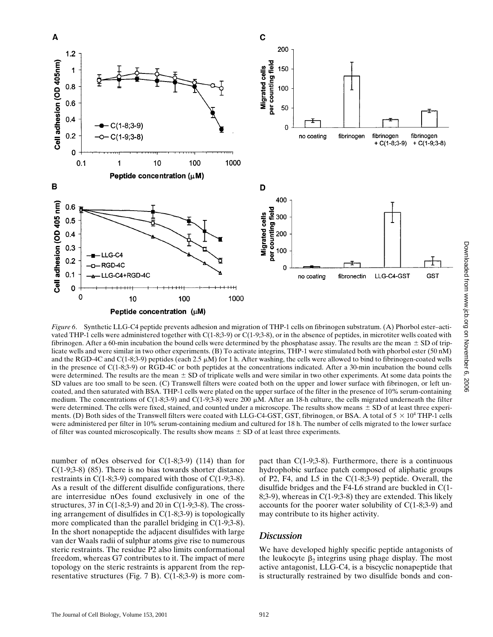

*Figure 6*. Synthetic LLG-C4 peptide prevents adhesion and migration of THP-1 cells on fibrinogen substratum. (A) Phorbol ester–activated THP-1 cells were administered together with C(1-8;3-9) or C(1-9;3-8), or in the absence of peptides, in microtiter wells coated with fibrinogen. After a 60-min incubation the bound cells were determined by the phosphatase assay. The results are the mean  $\pm$  SD of triplicate wells and were similar in two other experiments. (B) To activate integrins, THP-1 were stimulated both with phorbol ester (50 nM) and the RGD-4C and C(1-8;3-9) peptides (each 2.5  $\mu$ M) for 1 h. After washing, the cells were allowed to bind to fibrinogen-coated wells in the presence of C(1-8;3-9) or RGD-4C or both peptides at the concentrations indicated. After a 30-min incubation the bound cells were determined. The results are the mean  $\pm$  SD of triplicate wells and were similar in two other experiments. At some data points the SD values are too small to be seen. (C) Transwell filters were coated both on the upper and lower surface with fibrinogen, or left uncoated, and then saturated with BSA. THP-1 cells were plated on the upper surface of the filter in the presence of 10% serum-containing medium. The concentrations of C(1-8;3-9) and C(1-9;3-8) were 200  $\mu$ M. After an 18-h culture, the cells migrated underneath the filter were determined. The cells were fixed, stained, and counted under a microscope. The results show means  $\pm$  SD of at least three experiments. (D) Both sides of the Transwell filters were coated with LLG-C4-GST, GST, fibrinogen, or BSA. A total of  $5 \times 10^4$  THP-1 cells were administered per filter in 10% serum-containing medium and cultured for 18 h. The number of cells migrated to the lower surface of filter was counted microscopically. The results show means  $\pm$  SD of at least three experiments.

number of nOes observed for C(1-8;3-9) (114) than for C(1-9;3-8) (85). There is no bias towards shorter distance restraints in  $C(1-8,3-9)$  compared with those of  $C(1-9,3-8)$ . As a result of the different disulfide configurations, there are interresidue nOes found exclusively in one of the structures, 37 in  $C(1-8,3-9)$  and 20 in  $C(1-9,3-8)$ . The crossing arrangement of disulfides in C(1-8;3-9) is topologically more complicated than the parallel bridging in C(1-9;3-8). In the short nonapeptide the adjacent disulfides with large van der Waals radii of sulphur atoms give rise to numerous steric restraints. The residue P2 also limits conformational freedom, whereas G7 contributes to it. The impact of mere topology on the steric restraints is apparent from the representative structures (Fig. 7 B). C(1-8;3-9) is more compact than  $C(1-9;3-8)$ . Furthermore, there is a continuous hydrophobic surface patch composed of aliphatic groups of P2, F4, and L5 in the C(1-8;3-9) peptide. Overall, the disulfide bridges and the F4-L6 strand are buckled in C(1- 8;3-9), whereas in C(1-9;3-8) they are extended. This likely accounts for the poorer water solubility of C(1-8;3-9) and may contribute to its higher activity.

#### *Discussion*

We have developed highly specific peptide antagonists of the leukocyte  $\beta_2$  integrins using phage display. The most active antagonist, LLG-C4, is a biscyclic nonapeptide that is structurally restrained by two disulfide bonds and con-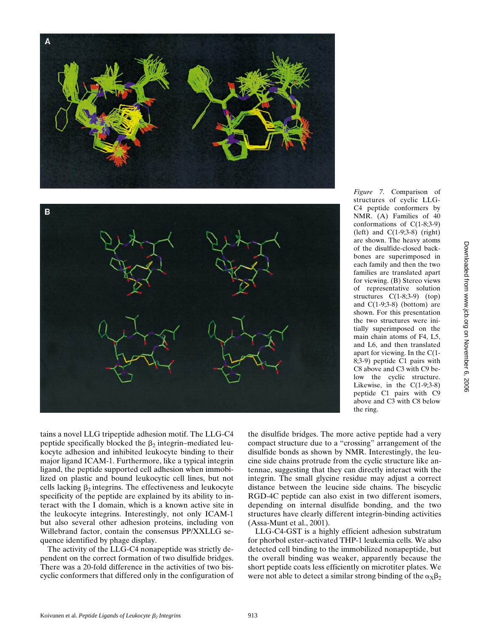

B

C4 peptide conformers by NMR. (A) Families of 40 conformations of C(1-8;3-9) (left) and C(1-9;3-8) (right) are shown. The heavy atoms of the disulfide-closed backbones are superimposed in each family and then the two families are translated apart for viewing. (B) Stereo views of representative solution structures C(1-8;3-9) (top) and  $C(1-9;3-8)$  (bottom) are shown. For this presentation the two structures were initially superimposed on the main chain atoms of F4, L5, and L6, and then translated apart for viewing. In the C(1- 8;3-9) peptide C1 pairs with C8 above and C3 with C9 below the cyclic structure. Likewise, in the  $C(1-9;3-8)$ peptide C1 pairs with C9 above and C3 with C8 below the ring.

*Figure 7*. Comparison of structures of cyclic LLG-

tains a novel LLG tripeptide adhesion motif. The LLG-C4 peptide specifically blocked the  $\beta_2$  integrin–mediated leukocyte adhesion and inhibited leukocyte binding to their major ligand ICAM-1. Furthermore, like a typical integrin ligand, the peptide supported cell adhesion when immobilized on plastic and bound leukocytic cell lines, but not cells lacking  $\beta_2$  integrins. The effectiveness and leukocyte specificity of the peptide are explained by its ability to interact with the I domain, which is a known active site in the leukocyte integrins. Interestingly, not only ICAM-1 but also several other adhesion proteins, including von Willebrand factor, contain the consensus PP/XXLLG sequence identified by phage display.

The activity of the LLG-C4 nonapeptide was strictly dependent on the correct formation of two disulfide bridges. There was a 20-fold difference in the activities of two biscyclic conformers that differed only in the configuration of the disulfide bridges. The more active peptide had a very compact structure due to a "crossing" arrangement of the disulfide bonds as shown by NMR. Interestingly, the leucine side chains protrude from the cyclic structure like antennae, suggesting that they can directly interact with the integrin. The small glycine residue may adjust a correct distance between the leucine side chains. The biscyclic RGD-4C peptide can also exist in two different isomers, depending on internal disulfide bonding, and the two structures have clearly different integrin-binding activities (Assa-Munt et al., 2001).

LLG-C4-GST is a highly efficient adhesion substratum for phorbol ester–activated THP-1 leukemia cells. We also detected cell binding to the immobilized nonapeptide, but the overall binding was weaker, apparently because the short peptide coats less efficiently on microtiter plates. We were not able to detect a similar strong binding of the  $\alpha_{\text{X}}\beta_2$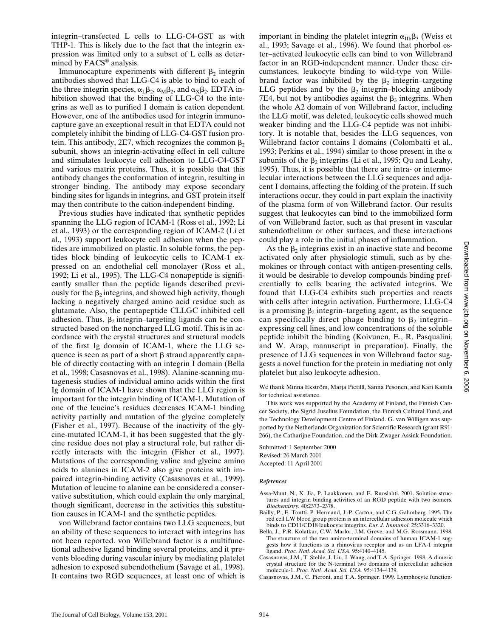integrin–transfected L cells to LLG-C4-GST as with THP-1. This is likely due to the fact that the integrin expression was limited only to a subset of L cells as determined by FACS® analysis.

Immunocapture experiments with different  $\beta_2$  integrin antibodies showed that LLG-C4 is able to bind to each of the three integrin species,  $\alpha_L \beta_2$ ,  $\alpha_M \beta_2$ , and  $\alpha_X \beta_2$ . EDTA inhibition showed that the binding of LLG-C4 to the integrins as well as to purified I domain is cation dependent. However, one of the antibodies used for integrin immunocapture gave an exceptional result in that EDTA could not completely inhibit the binding of LLG-C4-GST fusion protein. This antibody, 2E7, which recognizes the common  $\beta_2$ subunit, shows an integrin-activating effect in cell culture and stimulates leukocyte cell adhesion to LLG-C4-GST and various matrix proteins. Thus, it is possible that this antibody changes the conformation of integrin, resulting in stronger binding. The antibody may expose secondary binding sites for ligands in integrins, and GST protein itself may then contribute to the cation-independent binding.

Previous studies have indicated that synthetic peptides spanning the LLG region of ICAM-1 (Ross et al., 1992; Li et al., 1993) or the corresponding region of ICAM-2 (Li et al., 1993) support leukocyte cell adhesion when the peptides are immobilized on plastic. In soluble forms, the peptides block binding of leukocytic cells to ICAM-1 expressed on an endothelial cell monolayer (Ross et al., 1992; Li et al., 1995). The LLG-C4 nonapeptide is significantly smaller than the peptide ligands described previously for the  $\beta_2$  integrins, and showed high activity, though lacking a negatively charged amino acid residue such as glutamate. Also, the pentapeptide CLLGC inhibited cell adhesion. Thus,  $\beta_2$  integrin–targeting ligands can be constructed based on the noncharged LLG motif. This is in accordance with the crystal structures and structural models of the first Ig domain of ICAM-1, where the LLG sequence is seen as part of a short  $\beta$  strand apparently capable of directly contacting with an integrin I domain (Bella et al., 1998; Casasnovas et al., 1998). Alanine-scanning mutagenesis studies of individual amino acids within the first Ig domain of ICAM-1 have shown that the LLG region is important for the integrin binding of ICAM-1. Mutation of one of the leucine's residues decreases ICAM-1 binding activity partially and mutation of the glycine completely (Fisher et al., 1997). Because of the inactivity of the glycine-mutated ICAM-1, it has been suggested that the glycine residue does not play a structural role, but rather directly interacts with the integrin (Fisher et al., 1997). Mutations of the corresponding valine and glycine amino acids to alanines in ICAM-2 also give proteins with impaired integrin-binding activity (Casasnovas et al., 1999). Mutation of leucine to alanine can be considered a conservative substitution, which could explain the only marginal, though significant, decrease in the activities this substitution causes in ICAM-1 and the synthetic peptides.

von Willebrand factor contains two LLG sequences, but an ability of these sequences to interact with integrins has not been reported. von Willebrand factor is a multifunctional adhesive ligand binding several proteins, and it prevents bleeding during vascular injury by mediating platelet adhesion to exposed subendothelium (Savage et al., 1998). It contains two RGD sequences, at least one of which is

important in binding the platelet integrin  $\alpha_{\text{IIb}}\beta_3$  (Weiss et al., 1993; Savage et al., 1996). We found that phorbol ester–activated leukocytic cells can bind to von Willebrand factor in an RGD-independent manner. Under these circumstances, leukocyte binding to wild-type von Willebrand factor was inhibited by the  $\beta_2$  integrin–targeting LLG peptides and by the  $\beta_2$  integrin–blocking antibody 7E4, but not by antibodies against the  $\beta_3$  integrins. When the whole A2 domain of von Willebrand factor, including the LLG motif, was deleted, leukocytic cells showed much weaker binding and the LLG-C4 peptide was not inhibitory. It is notable that, besides the LLG sequences, von Willebrand factor contains I domains (Colombatti et al., 1993; Perkins et al., 1994) similar to those present in the  $\alpha$ subunits of the  $\beta_2$  integrins (Li et al., 1995; Qu and Leahy, 1995). Thus, it is possible that there are intra- or intermolecular interactions between the LLG sequences and adjacent I domains, affecting the folding of the protein. If such interactions occur, they could in part explain the inactivity of the plasma form of von Willebrand factor. Our results suggest that leukocytes can bind to the immobilized form of von Willebrand factor, such as that present in vascular subendothelium or other surfaces, and these interactions could play a role in the initial phases of inflammation.

As the  $\beta_2$  integrins exist in an inactive state and become activated only after physiologic stimuli, such as by chemokines or through contact with antigen-presenting cells, it would be desirable to develop compounds binding preferentially to cells bearing the activated integrins. We found that LLG-C4 exhibits such properties and reacts with cells after integrin activation. Furthermore, LLG-C4 is a promising  $\beta_2$  integrin–targeting agent, as the sequence can specifically direct phage binding to  $\beta_2$  integrin– expressing cell lines, and low concentrations of the soluble peptide inhibit the binding (Koivunen, E., R. Pasqualini, and W. Arap, manuscript in preparation). Finally, the presence of LLG sequences in von Willebrand factor suggests a novel function for the protein in mediating not only platelet but also leukocyte adhesion.

We thank Minna Ekström, Marja Pietilä, Sanna Pesonen, and Kari Kaitila for technical assistance.

This work was supported by the Academy of Finland, the Finnish Cancer Society, the Sigrid Juselius Foundation, the Finnish Cultural Fund, and the Technology Development Centre of Finland. G. van Willigen was supported by the Netherlands Organization for Scientific Research (grant R91- 266), the Catharijne Foundation, and the Dirk-Zwager Assink Foundation.

Submitted: 1 September 2000 Revised: 26 March 2001 Accepted: 11 April 2001

#### *References*

- Assa-Munt, N., X. Jia, P. Laakkonen, and E. Ruoslahti. 2001. Solution structures and integrin binding activities of an RGD peptide with two isomers. *Biochemistry.* 40:2373–2378.
- Bailly, P., E. Tontti, P. Hermand, J.-P. Carton, and C.G. Gahmberg. 1995. The red cell LW blood group protein is an intercellular adhesion molecule which binds to CD11/CD18 leukocyte integrins. *Eur. J. Immunol*. 25:3316–3320.
- Bella, J., P.R. Kolatkar, C.W. Marlor, J.M. Greve, and M.G. Rossmann. 1998. The structure of the two amino-terminal domains of human ICAM-1 suggests how it functions as a rhinovirus receptor and as an LFA-1 integrin ligand. *Proc. Natl. Acad. Sci. USA*. 95:4140–4145.
- Casasnovas, J.M., T. Stehle, J. Liu, J. Wang, and T.A. Springer. 1998. A dimeric crystal structure for the N-terminal two domains of intercellular adhesion molecule-1. *Proc. Natl. Acad. Sci. USA*. 95:4134–4139.
- Casasnovas, J.M., C. Pieroni, and T.A. Springer. 1999. Lymphocyte function-